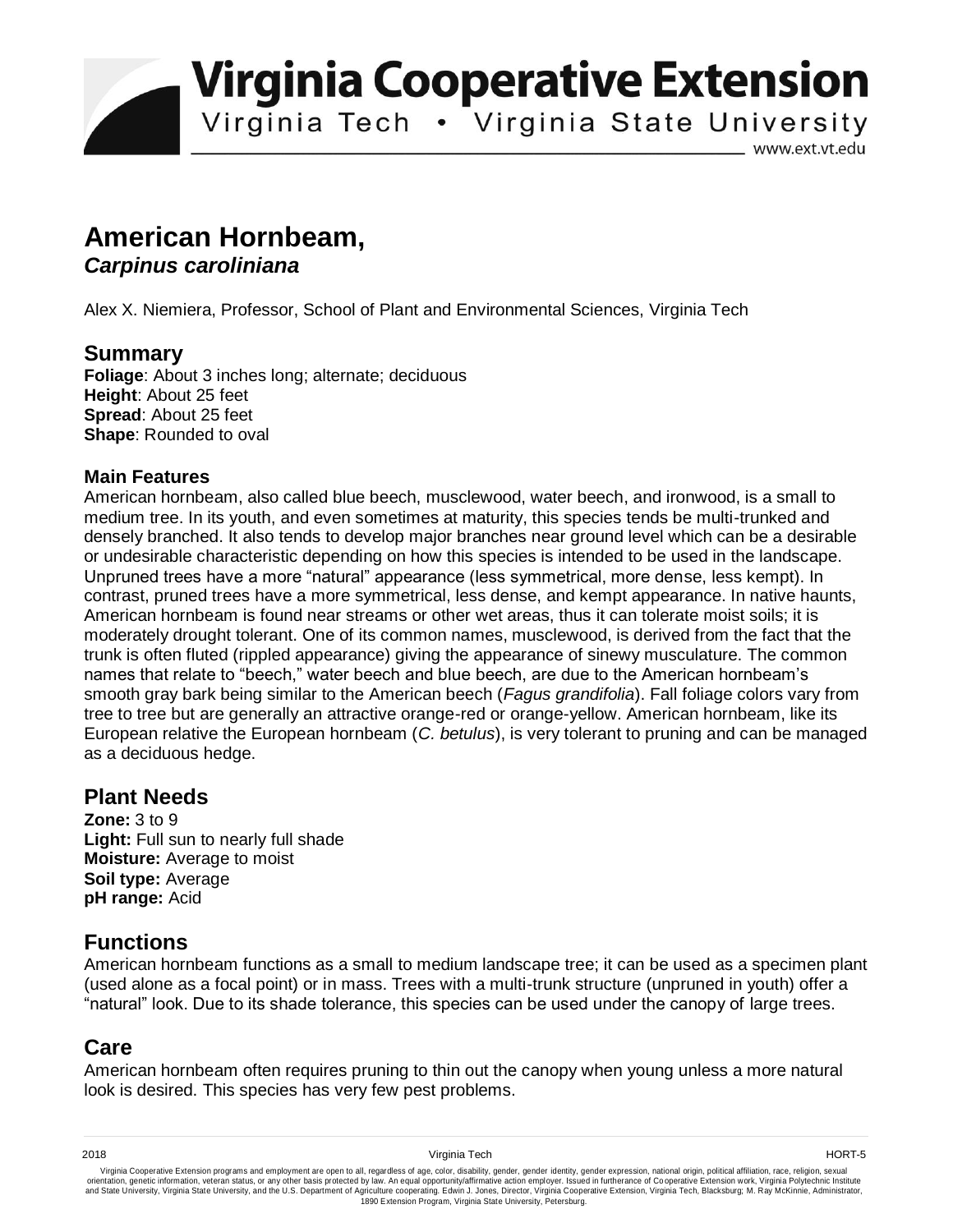**Virginia Cooperative Extension** 

Virginia Tech . Virginia State University

www.ext.vt.edu

# **American Hornbeam,**

#### *Carpinus caroliniana*

Alex X. Niemiera, Professor, School of Plant and Environmental Sciences, Virginia Tech

### **Summary**

**Foliage**: About 3 inches long; alternate; deciduous **Height**: About 25 feet **Spread**: About 25 feet **Shape**: Rounded to oval

#### **Main Features**

American hornbeam, also called blue beech, musclewood, water beech, and ironwood, is a small to medium tree. In its youth, and even sometimes at maturity, this species tends be multi-trunked and densely branched. It also tends to develop major branches near ground level which can be a desirable or undesirable characteristic depending on how this species is intended to be used in the landscape. Unpruned trees have a more "natural" appearance (less symmetrical, more dense, less kempt). In contrast, pruned trees have a more symmetrical, less dense, and kempt appearance. In native haunts, American hornbeam is found near streams or other wet areas, thus it can tolerate moist soils; it is moderately drought tolerant. One of its common names, musclewood, is derived from the fact that the trunk is often fluted (rippled appearance) giving the appearance of sinewy musculature. The common names that relate to "beech," water beech and blue beech, are due to the American hornbeam's smooth gray bark being similar to the American beech (*Fagus grandifolia*). Fall foliage colors vary from tree to tree but are generally an attractive orange-red or orange-yellow. American hornbeam, like its European relative the European hornbeam (*C. betulus*), is very tolerant to pruning and can be managed as a deciduous hedge.

#### **Plant Needs**

**Zone:** 3 to 9 **Light:** Full sun to nearly full shade **Moisture:** Average to moist **Soil type:** Average **pH range:** Acid

## **Functions**

American hornbeam functions as a small to medium landscape tree; it can be used as a specimen plant (used alone as a focal point) or in mass. Trees with a multi-trunk structure (unpruned in youth) offer a "natural" look. Due to its shade tolerance, this species can be used under the canopy of large trees.

## **Care**

American hornbeam often requires pruning to thin out the canopy when young unless a more natural look is desired. This species has very few pest problems.

Virginia Cooperative Extension programs and employment are open to all, regardless of age, color, disability, gender, gender identity, gender expression, national origin, political affiliation, race, religion, sexual وrie 1890 Extension Program, Virginia State University, Petersburg.